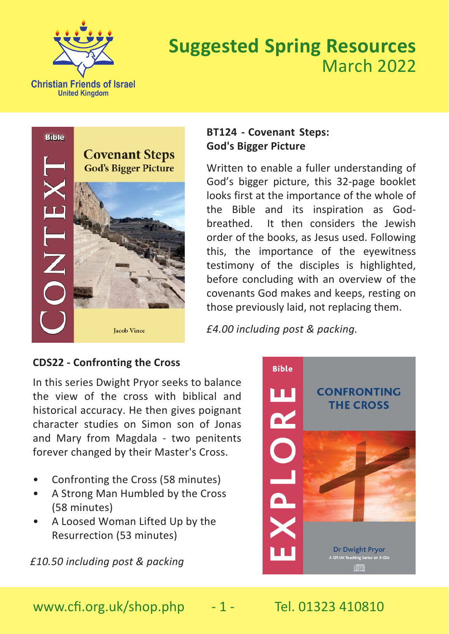

# **Suggested Spring Resources** March 2022



## **BT124 - Covenant Steps: God's Bigger Picture**

Written to enable a fuller understanding of God's bigger picture, this 32-page booklet looks first at the importance of the whole of the Bible and its inspiration as Godbreathed. It then considers the Jewish order of the books, as Jesus used. Following this, the importance of the eyewitness testimony of the disciples is highlighted, before concluding with an overview of the covenants God makes and keeps, resting on those previously laid, not replacing them.

*£4.00 including post & packing.*

## **CDS22 - Confronting the Cross**

In this series Dwight Pryor seeks to balance the view of the cross with biblical and historical accuracy. He then gives poignant character studies on Simon son of Jonas and Mary from Magdala - two penitents forever changed by their Master's Cross.

- Confronting the Cross (58 minutes)
- A Strong Man Humbled by the Cross (58 minutes)
- A Loosed Woman Lifted Up by the Resurrection (53 minutes)

*£10.50 including post & packing*